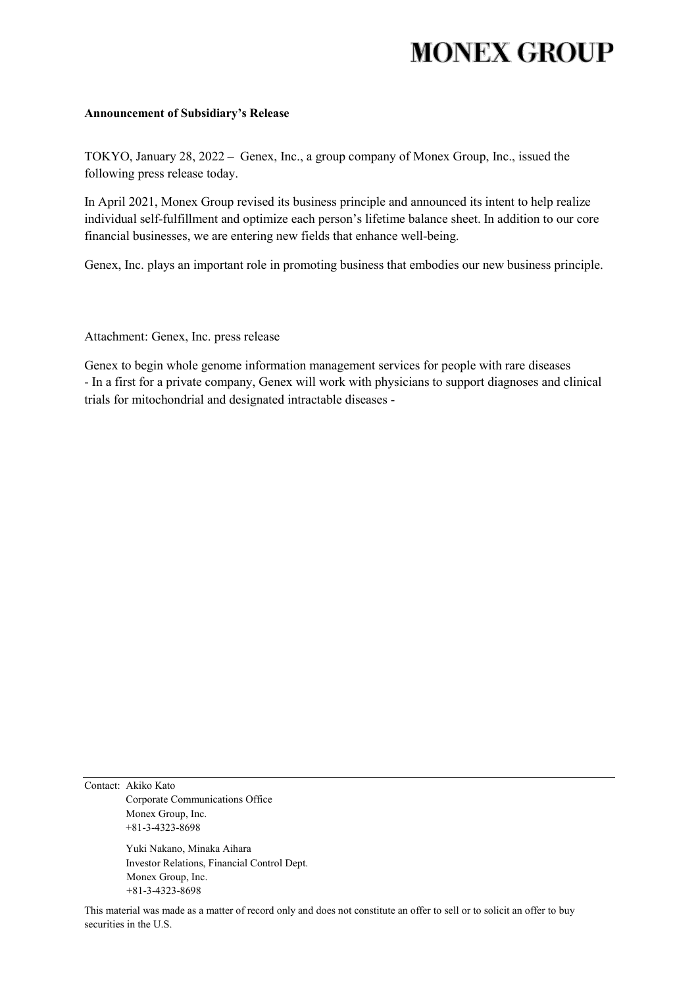# **MONEX GROUP**

#### **Announcement of Subsidiary's Release**

TOKYO, January 28, 2022 – Genex, Inc., a group company of Monex Group, Inc., issued the following press release today.

In April 2021, Monex Group revised its business principle and announced its intent to help realize individual self-fulfillment and optimize each person's lifetime balance sheet. In addition to our core financial businesses, we are entering new fields that enhance well-being.

Genex, Inc. plays an important role in promoting business that embodies our new business principle.

Attachment: Genex, Inc. press release

Genex to begin whole genome information management services for people with rare diseases - In a first for a private company, Genex will work with physicians to support diagnoses and clinical trials for mitochondrial and designated intractable diseases -

Contact: Akiko Kato Corporate Communications Office Monex Group, Inc. +81-3-4323-8698

> Yuki Nakano, Minaka Aihara Investor Relations, Financial Control Dept. Monex Group, Inc. +81-3-4323-8698

This material was made as a matter of record only and does not constitute an offer to sell or to solicit an offer to buy securities in the U.S.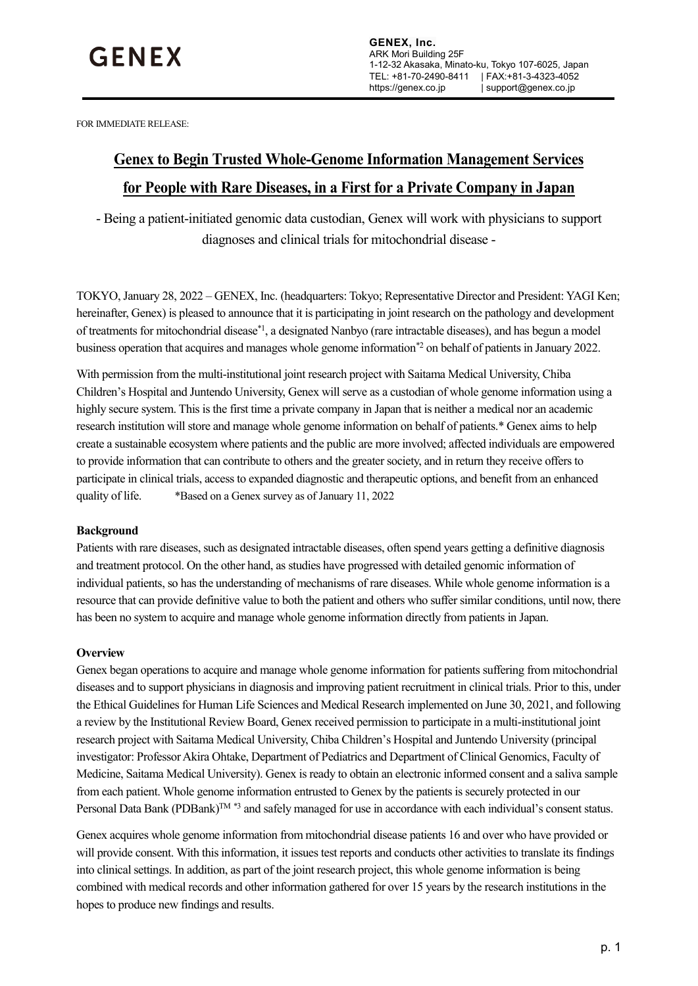FOR IMMEDIATE RELEASE:

# **Genex to Begin Trusted Whole-Genome Information Management Services for People with Rare Diseases, in a First for a Private Company in Japan**

- Being a patient-initiated genomic data custodian, Genex will work with physicians to support diagnoses and clinical trials for mitochondrial disease -

TOKYO, January 28, 2022 – GENEX, Inc. (headquarters: Tokyo; Representative Director and President: YAGI Ken; hereinafter, Genex) is pleased to announce that it is participating in joint research on the pathology and development of treatments for mitochondrial disease\*<sup>1</sup>, a designated Nanbyo (rare intractable diseases), and has begun a model business operation that acquires and manages whole genome information<sup>\*2</sup> on behalf of patients in January 2022.

With permission from the multi-institutional joint research project with Saitama Medical University, Chiba Children's Hospital and Juntendo University, Genex will serve as a custodian of whole genome information using a highly secure system. This is the first time a private company in Japan that is neither a medical nor an academic research institution will store and manage whole genome information on behalf of patients.\* Genex aims to help create a sustainable ecosystem where patients and the public are more involved; affected individuals are empowered to provide information that can contribute to others and the greater society, and in return they receive offers to participate in clinical trials, access to expanded diagnostic and therapeutic options, and benefit from an enhanced quality of life. \*Based on a Genex survey as of January 11, 2022

# **Background**

Patients with rare diseases, such as designated intractable diseases, often spend years getting a definitive diagnosis and treatment protocol. On the other hand, as studies have progressed with detailed genomic information of individual patients, so has the understanding of mechanisms of rare diseases. While whole genome information is a resource that can provide definitive value to both the patient and others who suffer similar conditions, until now, there has been no system to acquire and manage whole genome information directly from patients in Japan.

# **Overview**

Genex began operations to acquire and manage whole genome information for patients suffering from mitochondrial diseases and to support physicians in diagnosis and improving patient recruitment in clinical trials. Prior to this, under the Ethical Guidelines for Human Life Sciences and Medical Research implemented on June 30, 2021, and following a review by the Institutional Review Board, Genex received permission to participate in a multi-institutional joint research project with Saitama Medical University, Chiba Children's Hospital and Juntendo University (principal investigator: Professor Akira Ohtake, Department of Pediatrics and Department of Clinical Genomics, Faculty of Medicine, Saitama Medical University). Genex is ready to obtain an electronic informed consent and a saliva sample from each patient. Whole genome information entrusted to Genex by the patients is securely protected in our Personal Data Bank (PDBank)<sup>TM \*3</sup> and safely managed for use in accordance with each individual's consent status.

Genex acquires whole genome information from mitochondrial disease patients 16 and over who have provided or will provide consent. With this information, it issues test reports and conducts other activities to translate its findings into clinical settings. In addition, as part of the joint research project, this whole genome information is being combined with medical records and other information gathered for over 15 years by the research institutions in the hopes to produce new findings and results.